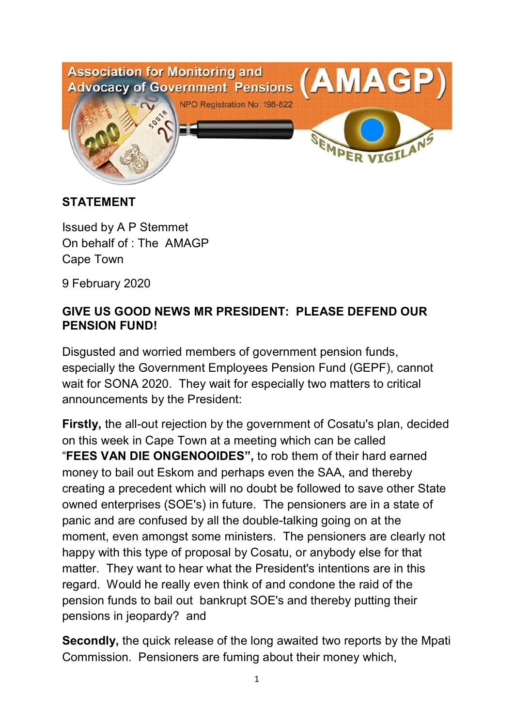

## **STATEMENT**

Issued by A P Stemmet On behalf of : The AMAGP Cape Town

9 February 2020

## **GIVE US GOOD NEWS MR PRESIDENT: PLEASE DEFEND OUR PENSION FUND!**

Disgusted and worried members of government pension funds, especially the Government Employees Pension Fund (GEPF), cannot wait for SONA 2020. They wait for especially two matters to critical announcements by the President:

**Firstly,** the all-out rejection by the government of Cosatu's plan, decided on this week in Cape Town at a meeting which can be called "**FEES VAN DIE ONGENOOIDES",** to rob them of their hard earned money to bail out Eskom and perhaps even the SAA, and thereby creating a precedent which will no doubt be followed to save other State owned enterprises (SOE's) in future. The pensioners are in a state of panic and are confused by all the double-talking going on at the moment, even amongst some ministers. The pensioners are clearly not happy with this type of proposal by Cosatu, or anybody else for that matter. They want to hear what the President's intentions are in this regard. Would he really even think of and condone the raid of the pension funds to bail out bankrupt SOE's and thereby putting their pensions in jeopardy? and

**Secondly,** the quick release of the long awaited two reports by the Mpati Commission. Pensioners are fuming about their money which,